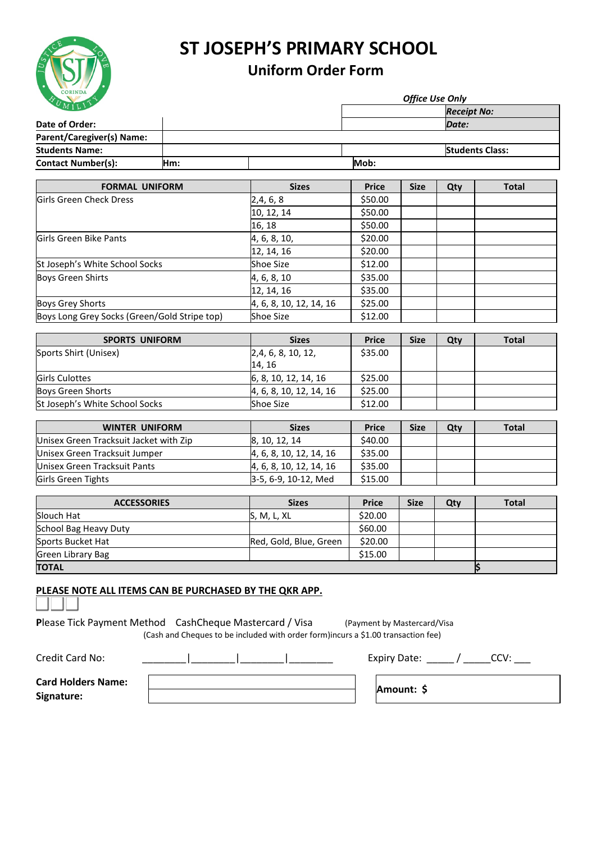

## **ST JOSEPH'S PRIMARY SCHOOL**

## **Uniform Order Form**

|     |  |  | <b>Office Use Only</b> |                        |  |  |
|-----|--|--|------------------------|------------------------|--|--|
|     |  |  |                        | <b>Receipt No:</b>     |  |  |
|     |  |  |                        | Date:                  |  |  |
|     |  |  |                        |                        |  |  |
|     |  |  |                        | <b>Students Class:</b> |  |  |
| Hm: |  |  | Mob:                   |                        |  |  |
|     |  |  |                        |                        |  |  |

| <b>FORMAL UNIFORM</b>                        | <b>Sizes</b>            | <b>Price</b> | <b>Size</b> | Qty | <b>Total</b> |
|----------------------------------------------|-------------------------|--------------|-------------|-----|--------------|
| Girls Green Check Dress                      | 2,4,6,8                 | \$50.00      |             |     |              |
|                                              | 10, 12, 14              | \$50.00      |             |     |              |
|                                              | 16, 18                  | \$50.00      |             |     |              |
| Girls Green Bike Pants                       | 4, 6, 8, 10,            | \$20.00      |             |     |              |
|                                              | 12, 14, 16              | \$20.00      |             |     |              |
| St Joseph's White School Socks               | Shoe Size               | \$12.00      |             |     |              |
| Boys Green Shirts                            | 4, 6, 8, 10             | \$35.00      |             |     |              |
|                                              | 12, 14, 16              | \$35.00      |             |     |              |
| <b>Boys Grey Shorts</b>                      | 4, 6, 8, 10, 12, 14, 16 | \$25.00      |             |     |              |
| Boys Long Grey Socks (Green/Gold Stripe top) | Shoe Size               | \$12.00      |             |     |              |

| <b>SPORTS UNIFORM</b>          | <b>Sizes</b>                       | <b>Price</b> | <b>Size</b> | Qty | <b>Total</b> |
|--------------------------------|------------------------------------|--------------|-------------|-----|--------------|
| Sports Shirt (Unisex)          | [2,4, 6, 8, 10, 12]                | \$35.00      |             |     |              |
|                                | 14.16                              |              |             |     |              |
| <b>Girls Culottes</b>          | $\vert 6, 8, 10, 12, 14, 16 \vert$ | \$25.00      |             |     |              |
| Boys Green Shorts              | 4, 6, 8, 10, 12, 14, 16            | \$25.00      |             |     |              |
| St Joseph's White School Socks | <b>Shoe Size</b>                   | \$12.00      |             |     |              |

| <b>WINTER UNIFORM</b>                  | <b>Sizes</b>            | <b>Price</b> | <b>Size</b> | Qty | <b>Total</b> |
|----------------------------------------|-------------------------|--------------|-------------|-----|--------------|
| Unisex Green Tracksuit Jacket with Zip | 8, 10, 12, 14           | \$40.00      |             |     |              |
| Unisex Green Tracksuit Jumper          | 4, 6, 8, 10, 12, 14, 16 | \$35.00      |             |     |              |
| Unisex Green Tracksuit Pants           | 4, 6, 8, 10, 12, 14, 16 | \$35.00      |             |     |              |
| Girls Green Tights                     | 3-5, 6-9, 10-12, Med    | \$15.00      |             |     |              |

| <b>ACCESSORIES</b>    | <b>Sizes</b>           | <b>Price</b> | <b>Size</b> | Qty | <b>Total</b> |
|-----------------------|------------------------|--------------|-------------|-----|--------------|
| Slouch Hat            | S, M, L, XL            | \$20.00      |             |     |              |
| School Bag Heavy Duty |                        | \$60.00      |             |     |              |
| Sports Bucket Hat     | Red, Gold, Blue, Green | \$20.00      |             |     |              |
| Green Library Bag     |                        | \$15.00      |             |     |              |
| <b>TOTAL</b>          |                        |              |             |     |              |

## **PLEASE NOTE ALL ITEMS CAN BE PURCHASED BY THE QKR APP.**

**Please Tick Payment Method** CashCheque Mastercard / Visa (Payment by Mastercard/Visa (Cash and Cheques to be included with order form)incurs a \$1.00 transaction fee)

| Credit Card No:                         | Expiry Date: |
|-----------------------------------------|--------------|
| <b>Card Holders Name:</b><br>Signature: | Amount: \$   |